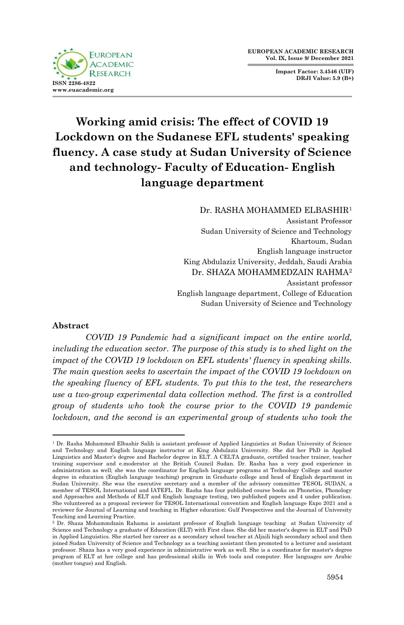**FUROPEAN ACADEMIC RESEARCH ISSN 2286-4822 www.euacademic.org**

**Impact Factor: 3.4546 (UIF) DRJI Value: 5.9 (B+)**

# **Working amid crisis: The effect of COVID 19 Lockdown on the Sudanese EFL students' speaking fluency. A case study at Sudan University of Science and technology- Faculty of Education- English language department**

# Dr. RASHA MOHAMMED ELBASHIR<sup>1</sup>

Assistant Professor Sudan University of Science and Technology Khartoum, Sudan English language instructor King Abdulaziz University, Jeddah, Saudi Arabia Dr. SHAZA MOHAMMEDZAIN RAHMA<sup>2</sup> Assistant professor English language department, College of Education Sudan University of Science and Technology

## **Abstract**

*COVID 19 Pandemic had a significant impact on the entire world,*  including the education sector. The purpose of this study is to shed light on the *impact of the COVID 19 lockdown on EFL students' fluency in speaking skills. The main question seeks to ascertain the impact of the COVID 19 lockdown on the speaking fluency of EFL students. To put this to the test, the researchers use a two-group experimental data collection method. The first is a controlled group of students who took the course prior to the COVID 19 pandemic lockdown, and the second is an experimental group of students who took the* 

<sup>1</sup> <sup>1</sup> Dr. Rasha Mohammed Elbashir Salih is assistant professor of Applied Linguistics at Sudan University of Science and Technology and English language instructor at King Abdulaziz University. She did her PhD in Applied Linguistics and Master's degree and Bachelor degree in ELT. A CELTA graduate, certified teacher trainer, teacher training supervisor and e.moderator at the British Council Sudan. Dr. Rasha has a very good experience in administration as well; she was the coordinator for English language programs at Technology College and master degree in education (English language teaching) program in Graduate college and head of English department in Sudan University. She was the executive secretary and a member of the advisory committee TESOL SUDAN, a member of TESOL International and IATEFL. Dr. Rasha has four published course books on Phonetics, Phonology and Approaches and Methods of ELT and English language testing, two published papers and 4 under publication. She volunteered as a proposal reviewer for TESOL International convention and English language Expo 2021 and a reviewer for Journal of Learning and teaching in Higher education: Gulf Perspectives and the Journal of University Teaching and Learning Practice.

<sup>2</sup> Dr. Shaza Mohammdzain Rahama is assistant professor of English language teaching at Sudan University of Science and Technology a graduate of Education (ELT) with First class. She did her master's degree in ELT and PhD in Applied Linguistics. She started her career as a secondary school teacher at Aljaili high secondary school and then joined Sudan University of Science and Technology as a teaching assistant then promoted to a lecturer and assistant professor. Shaza has a very good experience in administrative work as well. She is a coordinator for master's degree program of ELT at her college and has professional skills in Web tools and computer. Her languages are Arabic (mother tongue) and English.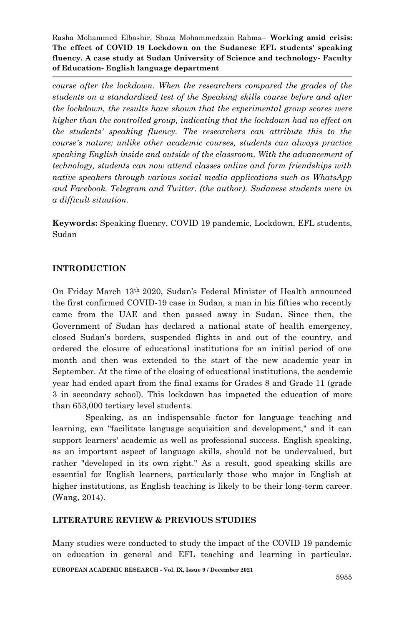*course after the lockdown. When the researchers compared the grades of the students on a standardized test of the Speaking skills course before and after the lockdown, the results have shown that the experimental group scores were higher than the controlled group, indicating that the lockdown had no effect on the students' speaking fluency. The researchers can attribute this to the course's nature; unlike other academic courses, students can always practice speaking English inside and outside of the classroom. With the advancement of technology, students can now attend classes online and form friendships with native speakers through various social media applications such as WhatsApp and Facebook. Telegram and Twitter. (the author). Sudanese students were in a difficult situation.*

**Keywords:** Speaking fluency, COVID 19 pandemic, Lockdown, EFL students, Sudan

# **INTRODUCTION**

On Friday March 13th 2020, Sudan's Federal Minister of Health announced the first confirmed COVID-19 case in Sudan, a man in his fifties who recently came from the UAE and then passed away in Sudan. Since then, the Government of Sudan has declared a national state of health emergency, closed Sudan's borders, suspended flights in and out of the country, and ordered the closure of educational institutions for an initial period of one month and then was extended to the start of the new academic year in September. At the time of the closing of educational institutions, the academic year had ended apart from the final exams for Grades 8 and Grade 11 (grade 3 in secondary school). This lockdown has impacted the education of more than 653,000 tertiary level students.

Speaking, as an indispensable factor for language teaching and learning, can "facilitate language acquisition and development," and it can support learners' academic as well as professional success. English speaking, as an important aspect of language skills, should not be undervalued, but rather "developed in its own right." As a result, good speaking skills are essential for English learners, particularly those who major in English at higher institutions, as English teaching is likely to be their long-term career. (Wang, 2014).

# **LITERATURE REVIEW & PREVIOUS STUDIES**

Many studies were conducted to study the impact of the COVID 19 pandemic on education in general and EFL teaching and learning in particular.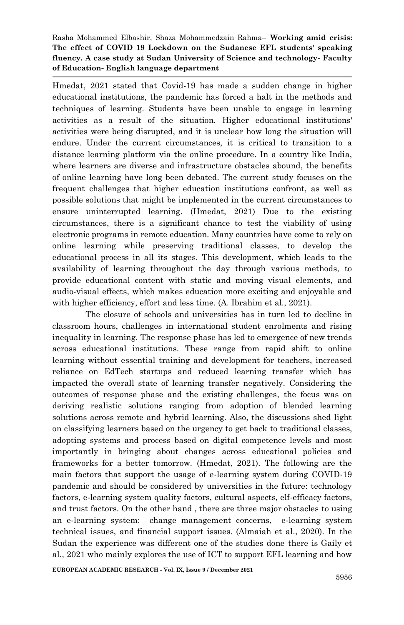Hmedat, 2021 stated that Covid-19 has made a sudden change in higher educational institutions, the pandemic has forced a halt in the methods and techniques of learning. Students have been unable to engage in learning activities as a result of the situation. Higher educational institutions' activities were being disrupted, and it is unclear how long the situation will endure. Under the current circumstances, it is critical to transition to a distance learning platform via the online procedure. In a country like India, where learners are diverse and infrastructure obstacles abound, the benefits of online learning have long been debated. The current study focuses on the frequent challenges that higher education institutions confront, as well as possible solutions that might be implemented in the current circumstances to ensure uninterrupted learning. (Hmedat, 2021) Due to the existing circumstances, there is a significant chance to test the viability of using electronic programs in remote education. Many countries have come to rely on online learning while preserving traditional classes, to develop the educational process in all its stages. This development, which leads to the availability of learning throughout the day through various methods, to provide educational content with static and moving visual elements, and audio-visual effects, which makes education more exciting and enjoyable and with higher efficiency, effort and less time. (A. Ibrahim et al., 2021).

The closure of schools and universities has in turn led to decline in classroom hours, challenges in international student enrolments and rising inequality in learning. The response phase has led to emergence of new trends across educational institutions. These range from rapid shift to online learning without essential training and development for teachers, increased reliance on EdTech startups and reduced learning transfer which has impacted the overall state of learning transfer negatively. Considering the outcomes of response phase and the existing challenges, the focus was on deriving realistic solutions ranging from adoption of blended learning solutions across remote and hybrid learning. Also, the discussions shed light on classifying learners based on the urgency to get back to traditional classes, adopting systems and process based on digital competence levels and most importantly in bringing about changes across educational policies and frameworks for a better tomorrow. (Hmedat, 2021). The following are the main factors that support the usage of e-learning system during COVID-19 pandemic and should be considered by universities in the future: technology factors, e-learning system quality factors, cultural aspects, elf-efficacy factors, and trust factors. On the other hand , there are three major obstacles to using an e-learning system: change management concerns, e-learning system technical issues, and financial support issues. (Almaiah et al., 2020). In the Sudan the experience was different one of the studies done there is Gaily et al., 2021 who mainly explores the use of ICT to support EFL learning and how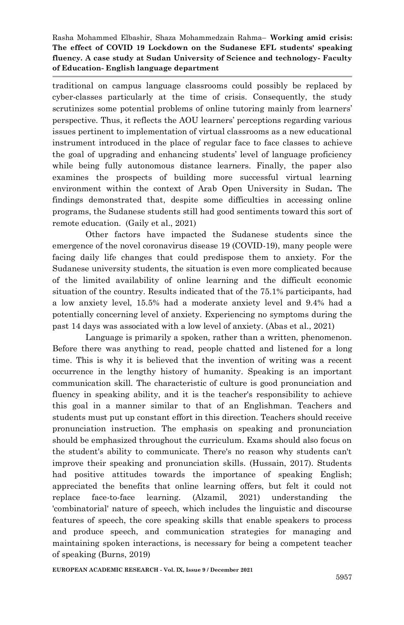traditional on campus language classrooms could possibly be replaced by cyber-classes particularly at the time of crisis. Consequently, the study scrutinizes some potential problems of online tutoring mainly from learners' perspective. Thus, it reflects the AOU learners' perceptions regarding various issues pertinent to implementation of virtual classrooms as a new educational instrument introduced in the place of regular face to face classes to achieve the goal of upgrading and enhancing students' level of language proficiency while being fully autonomous distance learners. Finally, the paper also examines the prospects of building more successful virtual learning environment within the context of Arab Open University in Sudan**.** The findings demonstrated that, despite some difficulties in accessing online programs, the Sudanese students still had good sentiments toward this sort of remote education. (Gaily et al., 2021)

Other factors have impacted the Sudanese students since the emergence of the novel coronavirus disease 19 (COVID-19), many people were facing daily life changes that could predispose them to anxiety. For the Sudanese university students, the situation is even more complicated because of the limited availability of online learning and the difficult economic situation of the country. Results indicated that of the 75.1% participants, had a low anxiety level, 15.5% had a moderate anxiety level and 9.4% had a potentially concerning level of anxiety. Experiencing no symptoms during the past 14 days was associated with a low level of anxiety. (Abas et al., 2021)

Language is primarily a spoken, rather than a written, phenomenon. Before there was anything to read, people chatted and listened for a long time. This is why it is believed that the invention of writing was a recent occurrence in the lengthy history of humanity. Speaking is an important communication skill. The characteristic of culture is good pronunciation and fluency in speaking ability, and it is the teacher's responsibility to achieve this goal in a manner similar to that of an Englishman. Teachers and students must put up constant effort in this direction. Teachers should receive pronunciation instruction. The emphasis on speaking and pronunciation should be emphasized throughout the curriculum. Exams should also focus on the student's ability to communicate. There's no reason why students can't improve their speaking and pronunciation skills. (Hussain, 2017). Students had positive attitudes towards the importance of speaking English; appreciated the benefits that online learning offers, but felt it could not replace face-to-face learning. (Alzamil, 2021) understanding the 'combinatorial' nature of speech, which includes the linguistic and discourse features of speech, the core speaking skills that enable speakers to process and produce speech, and communication strategies for managing and maintaining spoken interactions, is necessary for being a competent teacher of speaking (Burns, 2019)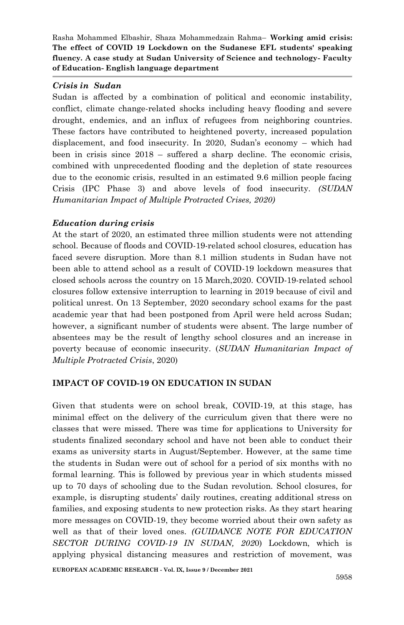## *Crisis in Sudan*

Sudan is affected by a combination of political and economic instability, conflict, climate change-related shocks including heavy flooding and severe drought, endemics, and an influx of refugees from neighboring countries. These factors have contributed to heightened poverty, increased population displacement, and food insecurity. In 2020, Sudan's economy – which had been in crisis since 2018 – suffered a sharp decline. The economic crisis, combined with unprecedented flooding and the depletion of state resources due to the economic crisis, resulted in an estimated 9.6 million people facing Crisis (IPC Phase 3) and above levels of food insecurity. *(SUDAN Humanitarian Impact of Multiple Protracted Crises, 2020)*

# *Education during crisis*

At the start of 2020, an estimated three million students were not attending school. Because of floods and COVID-19-related school closures, education has faced severe disruption. More than 8.1 million students in Sudan have not been able to attend school as a result of COVID-19 lockdown measures that closed schools across the country on 15 March,2020. COVID-19-related school closures follow extensive interruption to learning in 2019 because of civil and political unrest. On 13 September, 2020 secondary school exams for the past academic year that had been postponed from April were held across Sudan; however, a significant number of students were absent. The large number of absentees may be the result of lengthy school closures and an increase in poverty because of economic insecurity. (*SUDAN Humanitarian Impact of Multiple Protracted Crisis*, 2020)

## **IMPACT OF COVID-19 ON EDUCATION IN SUDAN**

Given that students were on school break, COVID-19, at this stage, has minimal effect on the delivery of the curriculum given that there were no classes that were missed. There was time for applications to University for students finalized secondary school and have not been able to conduct their exams as university starts in August/September. However, at the same time the students in Sudan were out of school for a period of six months with no formal learning. This is followed by previous year in which students missed up to 70 days of schooling due to the Sudan revolution. School closures, for example, is disrupting students' daily routines, creating additional stress on families, and exposing students to new protection risks. As they start hearing more messages on COVID-19, they become worried about their own safety as well as that of their loved ones*. (GUIDANCE NOTE FOR EDUCATION SECTOR DURING COVID-19 IN SUDAN, 202*0) Lockdown, which is applying physical distancing measures and restriction of movement, was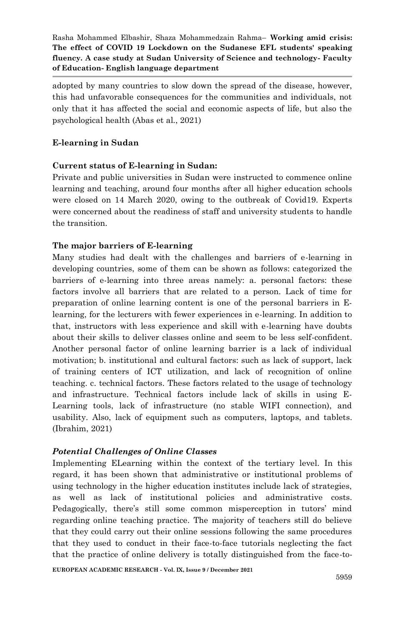adopted by many countries to slow down the spread of the disease, however, this had unfavorable consequences for the communities and individuals, not only that it has affected the social and economic aspects of life, but also the psychological health (Abas et al., 2021)

# **E-learning in Sudan**

# **Current status of E-learning in Sudan:**

Private and public universities in Sudan were instructed to commence online learning and teaching, around four months after all higher education schools were closed on 14 March 2020, owing to the outbreak of Covid19. Experts were concerned about the readiness of staff and university students to handle the transition.

# **The major barriers of E-learning**

Many studies had dealt with the challenges and barriers of e-learning in developing countries, some of them can be shown as follows: categorized the barriers of e-learning into three areas namely: a. personal factors: these factors involve all barriers that are related to a person. Lack of time for preparation of online learning content is one of the personal barriers in Elearning, for the lecturers with fewer experiences in e-learning. In addition to that, instructors with less experience and skill with e-learning have doubts about their skills to deliver classes online and seem to be less self-confident. Another personal factor of online learning barrier is a lack of individual motivation; b. institutional and cultural factors: such as lack of support, lack of training centers of ICT utilization, and lack of recognition of online teaching. c. technical factors. These factors related to the usage of technology and infrastructure. Technical factors include lack of skills in using E-Learning tools, lack of infrastructure (no stable WIFI connection), and usability. Also, lack of equipment such as computers, laptops, and tablets. (Ibrahim, 2021)

# *Potential Challenges of Online Classes*

Implementing ELearning within the context of the tertiary level. In this regard, it has been shown that administrative or institutional problems of using technology in the higher education institutes include lack of strategies, as well as lack of institutional policies and administrative costs. Pedagogically, there's still some common misperception in tutors' mind regarding online teaching practice. The majority of teachers still do believe that they could carry out their online sessions following the same procedures that they used to conduct in their face-to-face tutorials neglecting the fact that the practice of online delivery is totally distinguished from the face-to-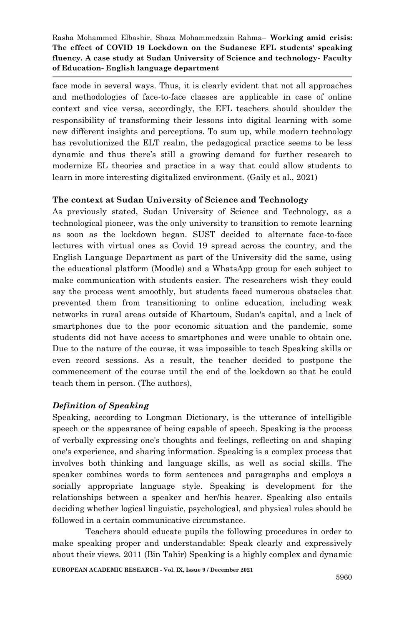face mode in several ways. Thus, it is clearly evident that not all approaches and methodologies of face-to-face classes are applicable in case of online context and vice versa, accordingly, the EFL teachers should shoulder the responsibility of transforming their lessons into digital learning with some new different insights and perceptions. To sum up, while modern technology has revolutionized the ELT realm, the pedagogical practice seems to be less dynamic and thus there's still a growing demand for further research to modernize EL theories and practice in a way that could allow students to learn in more interesting digitalized environment. (Gaily et al., 2021)

# **The context at Sudan University of Science and Technology**

As previously stated, Sudan University of Science and Technology, as a technological pioneer, was the only university to transition to remote learning as soon as the lockdown began. SUST decided to alternate face-to-face lectures with virtual ones as Covid 19 spread across the country, and the English Language Department as part of the University did the same, using the educational platform (Moodle) and a WhatsApp group for each subject to make communication with students easier. The researchers wish they could say the process went smoothly, but students faced numerous obstacles that prevented them from transitioning to online education, including weak networks in rural areas outside of Khartoum, Sudan's capital, and a lack of smartphones due to the poor economic situation and the pandemic, some students did not have access to smartphones and were unable to obtain one. Due to the nature of the course, it was impossible to teach Speaking skills or even record sessions. As a result, the teacher decided to postpone the commencement of the course until the end of the lockdown so that he could teach them in person. (The authors),

## *Definition of Speaking*

Speaking, according to Longman Dictionary, is the utterance of intelligible speech or the appearance of being capable of speech. Speaking is the process of verbally expressing one's thoughts and feelings, reflecting on and shaping one's experience, and sharing information. Speaking is a complex process that involves both thinking and language skills, as well as social skills. The speaker combines words to form sentences and paragraphs and employs a socially appropriate language style. Speaking is development for the relationships between a speaker and her/his hearer. Speaking also entails deciding whether logical linguistic, psychological, and physical rules should be followed in a certain communicative circumstance.

Teachers should educate pupils the following procedures in order to make speaking proper and understandable: Speak clearly and expressively about their views. 2011 (Bin Tahir) Speaking is a highly complex and dynamic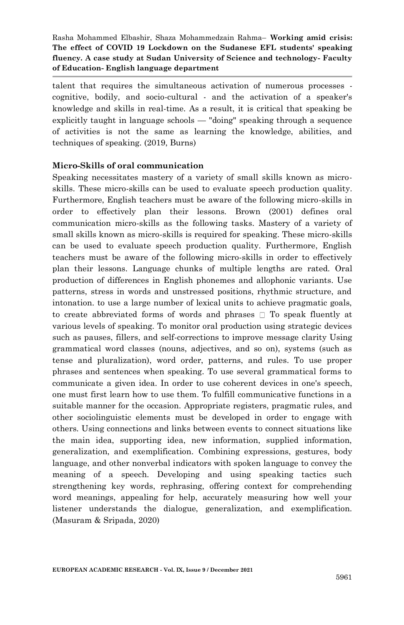talent that requires the simultaneous activation of numerous processes cognitive, bodily, and socio-cultural - and the activation of a speaker's knowledge and skills in real-time. As a result, it is critical that speaking be explicitly taught in language schools — "doing" speaking through a sequence of activities is not the same as learning the knowledge, abilities, and techniques of speaking. (2019, Burns)

## **Micro-Skills of oral communication**

Speaking necessitates mastery of a variety of small skills known as microskills. These micro-skills can be used to evaluate speech production quality. Furthermore, English teachers must be aware of the following micro-skills in order to effectively plan their lessons. Brown (2001) defines oral communication micro-skills as the following tasks. Mastery of a variety of small skills known as micro-skills is required for speaking. These micro-skills can be used to evaluate speech production quality. Furthermore, English teachers must be aware of the following micro-skills in order to effectively plan their lessons. Language chunks of multiple lengths are rated. Oral production of differences in English phonemes and allophonic variants. Use patterns, stress in words and unstressed positions, rhythmic structure, and intonation. to use a large number of lexical units to achieve pragmatic goals, to create abbreviated forms of words and phrases  $\Box$  To speak fluently at various levels of speaking. To monitor oral production using strategic devices such as pauses, fillers, and self-corrections to improve message clarity Using grammatical word classes (nouns, adjectives, and so on), systems (such as tense and pluralization), word order, patterns, and rules. To use proper phrases and sentences when speaking. To use several grammatical forms to communicate a given idea. In order to use coherent devices in one's speech, one must first learn how to use them. To fulfill communicative functions in a suitable manner for the occasion. Appropriate registers, pragmatic rules, and other sociolinguistic elements must be developed in order to engage with others. Using connections and links between events to connect situations like the main idea, supporting idea, new information, supplied information, generalization, and exemplification. Combining expressions, gestures, body language, and other nonverbal indicators with spoken language to convey the meaning of a speech. Developing and using speaking tactics such strengthening key words, rephrasing, offering context for comprehending word meanings, appealing for help, accurately measuring how well your listener understands the dialogue, generalization, and exemplification. (Masuram & Sripada, 2020)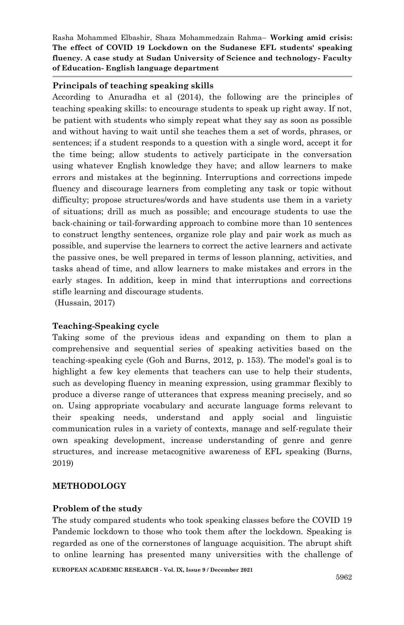## **Principals of teaching speaking skills**

According to Anuradha et al (2014), the following are the principles of teaching speaking skills: to encourage students to speak up right away. If not, be patient with students who simply repeat what they say as soon as possible and without having to wait until she teaches them a set of words, phrases, or sentences; if a student responds to a question with a single word, accept it for the time being; allow students to actively participate in the conversation using whatever English knowledge they have; and allow learners to make errors and mistakes at the beginning. Interruptions and corrections impede fluency and discourage learners from completing any task or topic without difficulty; propose structures/words and have students use them in a variety of situations; drill as much as possible; and encourage students to use the back-chaining or tail-forwarding approach to combine more than 10 sentences to construct lengthy sentences, organize role play and pair work as much as possible, and supervise the learners to correct the active learners and activate the passive ones, be well prepared in terms of lesson planning, activities, and tasks ahead of time, and allow learners to make mistakes and errors in the early stages. In addition, keep in mind that interruptions and corrections stifle learning and discourage students.

(Hussain, 2017)

## **Teaching-Speaking cycle**

Taking some of the previous ideas and expanding on them to plan a comprehensive and sequential series of speaking activities based on the teaching-speaking cycle (Goh and Burns, 2012, p. 153). The model's goal is to highlight a few key elements that teachers can use to help their students, such as developing fluency in meaning expression, using grammar flexibly to produce a diverse range of utterances that express meaning precisely, and so on. Using appropriate vocabulary and accurate language forms relevant to their speaking needs, understand and apply social and linguistic communication rules in a variety of contexts, manage and self-regulate their own speaking development, increase understanding of genre and genre structures, and increase metacognitive awareness of EFL speaking (Burns, 2019)

# **METHODOLOGY**

## **Problem of the study**

The study compared students who took speaking classes before the COVID 19 Pandemic lockdown to those who took them after the lockdown. Speaking is regarded as one of the cornerstones of language acquisition. The abrupt shift to online learning has presented many universities with the challenge of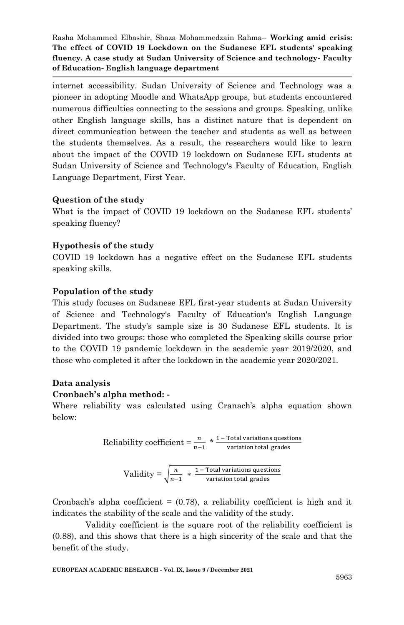internet accessibility. Sudan University of Science and Technology was a pioneer in adopting Moodle and WhatsApp groups, but students encountered numerous difficulties connecting to the sessions and groups. Speaking, unlike other English language skills, has a distinct nature that is dependent on direct communication between the teacher and students as well as between the students themselves. As a result, the researchers would like to learn about the impact of the COVID 19 lockdown on Sudanese EFL students at Sudan University of Science and Technology's Faculty of Education, English Language Department, First Year.

# **Question of the study**

What is the impact of COVID 19 lockdown on the Sudanese EFL students' speaking fluency?

# **Hypothesis of the study**

COVID 19 lockdown has a negative effect on the Sudanese EFL students speaking skills.

# **Population of the study**

This study focuses on Sudanese EFL first-year students at Sudan University of Science and Technology's Faculty of Education's English Language Department. The study's sample size is 30 Sudanese EFL students. It is divided into two groups: those who completed the Speaking skills course prior to the COVID 19 pandemic lockdown in the academic year 2019/2020, and those who completed it after the lockdown in the academic year 2020/2021.

## **Data analysis**

## **Cronbach's alpha method: -**

Where reliability was calculated using Cranach's alpha equation shown below:

Reliability coefficient = 
$$
\frac{n}{n-1} \times \frac{1-\text{Total variations questions}}{\text{variation total grades}}
$$

$$
Validity = \sqrt{\frac{n}{n-1} + \frac{1 - \text{Total variations questions}}{\text{variation total grades}}}
$$

Cronbach's alpha coefficient  $= (0.78)$ , a reliability coefficient is high and it indicates the stability of the scale and the validity of the study.

Validity coefficient is the square root of the reliability coefficient is (0.88), and this shows that there is a high sincerity of the scale and that the benefit of the study.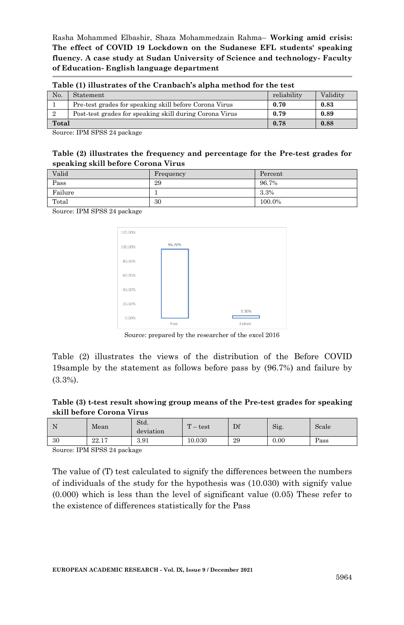| Table (1) illustrates of the Cranbach's alpha method for the test |                                                         |             |          |  |  |
|-------------------------------------------------------------------|---------------------------------------------------------|-------------|----------|--|--|
| No.                                                               | Statement                                               | reliability | Validity |  |  |
| Pre-test grades for speaking skill before Corona Virus            |                                                         | 0.70        | 0.83     |  |  |
|                                                                   | Post-test grades for speaking skill during Corona Virus | 0.79        | 0.89     |  |  |
| Total                                                             |                                                         | 0.78        | 0.88     |  |  |

Source: IPM SPSS 24 package

#### **Table (2) illustrates the frequency and percentage for the Pre-test grades for speaking skill before Corona Virus**

| Valid   | Frequency | Percent |
|---------|-----------|---------|
| Pass    | 29        | 96.7%   |
| Failure |           | 3.3%    |
| Total   | 30        | 100.0%  |

Source: IPM SPSS 24 package



Source: prepared by the researcher of the excel 2016

Table (2) illustrates the views of the distribution of the Before COVID 19sample by the statement as follows before pass by  $(96.7%)$  and failure by (3.3%).

## **Table (3) t-test result showing group means of the Pre-test grades for speaking skill before Corona Virus**

|    | Mean  | Std.<br>deviation | $\mathbf{r}$<br>test<br>– | Df | Sig. | Scale |
|----|-------|-------------------|---------------------------|----|------|-------|
| 30 | 22.17 | 3.91              | 10.030                    | 29 | 0.00 | Pass  |

Source: IPM SPSS 24 package

The value of (T) test calculated to signify the differences between the numbers of individuals of the study for the hypothesis was (10.030) with signify value (0.000) which is less than the level of significant value (0.05) These refer to the existence of differences statistically for the Pass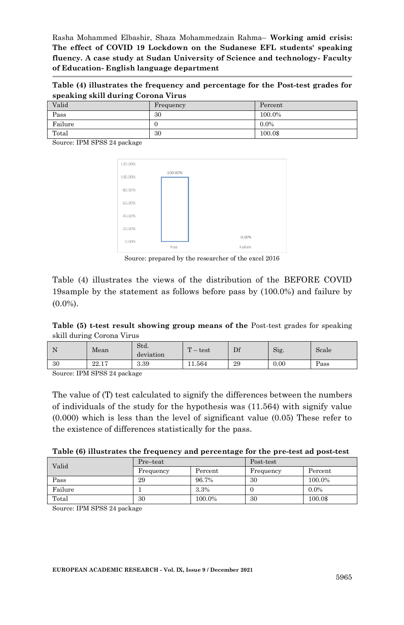**Table (4) illustrates the frequency and percentage for the Post-test grades for speaking skill during Corona Virus**

| Valid   | Frequency | Percent |
|---------|-----------|---------|
| Pass    | 30        | 100.0%  |
| Failure | υ         | $0.0\%$ |
| Total   | 30        | 100.0\$ |

Source: IPM SPSS 24 package



Source: prepared by the researcher of the excel 2016

Table (4) illustrates the views of the distribution of the BEFORE COVID 19sample by the statement as follows before pass by  $(100.0\%)$  and failure by  $(0.0\%)$ .

#### **Table (5) t-test result showing group means of the** Post-test grades for speaking skill during Corona Virus

| . . | Mean  | Std.<br>deviation | $\mathbf{m}$<br>test<br>– | Df | Sig. | Scale |
|-----|-------|-------------------|---------------------------|----|------|-------|
| 30  | 22.17 | 3.39              | 1.564                     | 29 | 0.00 | Pass  |

Source: IPM SPSS 24 package

The value of (T) test calculated to signify the differences between the numbers of individuals of the study for the hypothesis was (11.564) with signify value (0.000) which is less than the level of significant value (0.05) These refer to the existence of differences statistically for the pass.

| Table (6) illustrates the frequency and percentage for the pre-test ad post-test |  |  |
|----------------------------------------------------------------------------------|--|--|
|----------------------------------------------------------------------------------|--|--|

| Valid   | Pre-teat  |         | Post-test |         |  |
|---------|-----------|---------|-----------|---------|--|
|         | Frequency | Percent | Frequency | Percent |  |
| Pass    | 29        | 96.7%   | 30        | 100.0%  |  |
| Failure |           | 3.3%    |           | $0.0\%$ |  |
| Total   | 30        | 100.0%  | 30        | 100.0\$ |  |

Source: IPM SPSS 24 package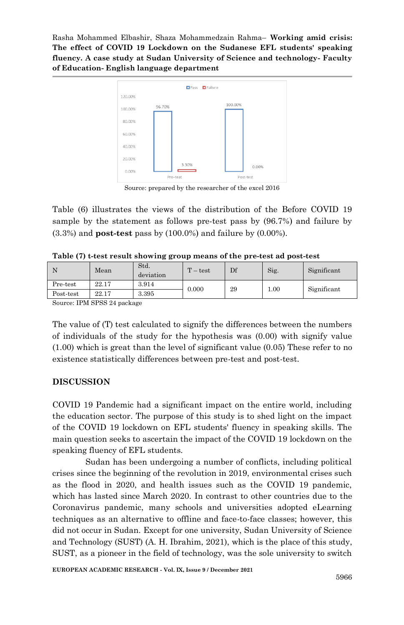

Source: prepared by the researcher of the excel 2016

Table (6) illustrates the views of the distribution of the Before COVID 19 sample by the statement as follows pre-test pass by  $(96.7%)$  and failure by  $(3.3\%)$  and **post-test** pass by  $(100.0\%)$  and failure by  $(0.00\%).$ 

| Table (7) t-test result showing group means of the pre-test ad post-test |  |  |
|--------------------------------------------------------------------------|--|--|
|--------------------------------------------------------------------------|--|--|

|           | Mean  | Std.<br>deviation | $T - test$ | Df | Sig. | Significant |
|-----------|-------|-------------------|------------|----|------|-------------|
| Pre-test  | 22.17 | 3.914             | 0.000      | 29 | 1.00 | Significant |
| Post-test | 22.17 | 3.395             |            |    |      |             |
| $\sim$    |       |                   |            |    |      |             |

Source: IPM SPSS 24 package

The value of (T) test calculated to signify the differences between the numbers of individuals of the study for the hypothesis was (0.00) with signify value (1.00) which is great than the level of significant value (0.05) These refer to no existence statistically differences between pre-test and post-test.

## **DISCUSSION**

COVID 19 Pandemic had a significant impact on the entire world, including the education sector. The purpose of this study is to shed light on the impact of the COVID 19 lockdown on EFL students' fluency in speaking skills. The main question seeks to ascertain the impact of the COVID 19 lockdown on the speaking fluency of EFL students.

Sudan has been undergoing a number of conflicts, including political crises since the beginning of the revolution in 2019, environmental crises such as the flood in 2020, and health issues such as the COVID 19 pandemic, which has lasted since March 2020. In contrast to other countries due to the Coronavirus pandemic, many schools and universities adopted eLearning techniques as an alternative to offline and face-to-face classes; however, this did not occur in Sudan. Except for one university, Sudan University of Science and Technology (SUST) (A. H. Ibrahim, 2021), which is the place of this study, SUST, as a pioneer in the field of technology, was the sole university to switch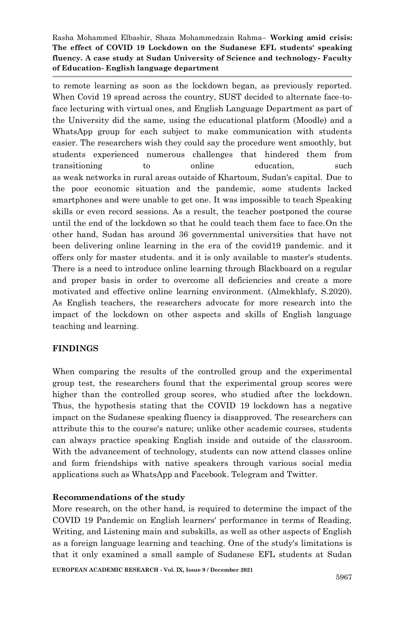to remote learning as soon as the lockdown began, as previously reported. When Covid 19 spread across the country, SUST decided to alternate face-toface lecturing with virtual ones, and English Language Department as part of the University did the same, using the educational platform (Moodle) and a WhatsApp group for each subject to make communication with students easier. The researchers wish they could say the procedure went smoothly, but students experienced numerous challenges that hindered them from transitioning to online education, such as weak networks in rural areas outside of Khartoum, Sudan's capital. Due to the poor economic situation and the pandemic, some students lacked smartphones and were unable to get one. It was impossible to teach Speaking skills or even record sessions. As a result, the teacher postponed the course until the end of the lockdown so that he could teach them face to face.On the other hand, Sudan has around 36 governmental universities that have not been delivering online learning in the era of the covid19 pandemic. and it offers only for master students. and it is only available to master's students. There is a need to introduce online learning through Blackboard on a regular and proper basis in order to overcome all deficiencies and create a more motivated and effective online learning environment. (Almekhlafy, S.2020). As English teachers, the researchers advocate for more research into the impact of the lockdown on other aspects and skills of English language teaching and learning.

# **FINDINGS**

When comparing the results of the controlled group and the experimental group test, the researchers found that the experimental group scores were higher than the controlled group scores, who studied after the lockdown. Thus, the hypothesis stating that the COVID 19 lockdown has a negative impact on the Sudanese speaking fluency is disapproved. The researchers can attribute this to the course's nature; unlike other academic courses, students can always practice speaking English inside and outside of the classroom. With the advancement of technology, students can now attend classes online and form friendships with native speakers through various social media applications such as WhatsApp and Facebook. Telegram and Twitter.

## **Recommendations of the study**

More research, on the other hand, is required to determine the impact of the COVID 19 Pandemic on English learners' performance in terms of Reading, Writing, and Listening main and subskills, as well as other aspects of English as a foreign language learning and teaching. One of the study's limitations is that it only examined a small sample of Sudanese EFL students at Sudan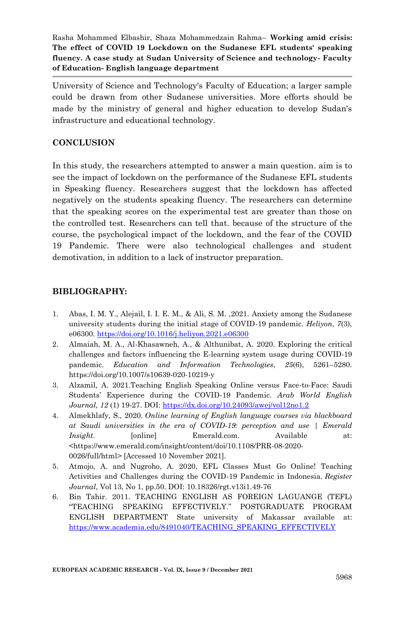University of Science and Technology's Faculty of Education; a larger sample could be drawn from other Sudanese universities. More efforts should be made by the ministry of general and higher education to develop Sudan's infrastructure and educational technology.

# **CONCLUSION**

In this study, the researchers attempted to answer a main question. aim is to see the impact of lockdown on the performance of the Sudanese EFL students in Speaking fluency. Researchers suggest that the lockdown has affected negatively on the students speaking fluency. The researchers can determine that the speaking scores on the experimental test are greater than those on the controlled test. Researchers can tell that. because of the structure of the course, the psychological impact of the lockdown, and the fear of the COVID 19 Pandemic. There were also technological challenges and student demotivation, in addition to a lack of instructor preparation.

# **BIBLIOGRAPHY:**

- 1. Abas, I. M. Y., Alejail, I. I. E. M., & Ali, S. M. ,2021. Anxiety among the Sudanese university students during the initial stage of COVID-19 pandemic. *Heliyon*, *7*(3), e06300[. https://doi.org/10.1016/j.heliyon.2021.e06300](https://doi.org/10.1016/j.heliyon.2021.e06300)
- 2. Almaiah, M. A., Al-Khasawneh, A., & Althunibat, A. 2020. Exploring the critical challenges and factors influencing the E-learning system usage during COVID-19 pandemic. *Education and Information Technologies*, *25*(6), 5261–5280. https://doi.org/10.1007/s10639-020-10219-y
- 3. Alzamil, A. 2021.Teaching English Speaking Online versus Face-to-Face: Saudi Students' Experience during the COVID-19 Pandemic. *Arab World English Journal, 12* (1) 19-27. DOI:<https://dx.doi.org/10.24093/awej/vol12no1.2>
- 4. Almekhlafy, S., 2020. *Online learning of English language courses via blackboard at Saudi universities in the era of COVID-19: perception and use | Emerald Insight.* [online] Emerald.com. Available at: <https://www.emerald.com/insight/content/doi/10.1108/PRR-08-2020- 0026/full/html> [Accessed 10 November 2021].
- 5. Atmojo, A. and Nugroho, A. 2020, EFL Classes Must Go Online! Teaching Activities and Challenges during the COVID-19 Pandemic in Indonesia. *Register Journal*, Vol 13, No 1, pp.50. DOI: 10.18326/rgt.v13i1.49-76
- 6. Bin Tahir. 2011. TEACHING ENGLISH AS FOREIGN LAGUANGE (TEFL) ―TEACHING SPEAKING EFFECTIVELY.‖ POSTGRADUATE PROGRAM ENGLISH DEPARTMENT State university of Makassar available at: [https://www.academia.edu/8491040/TEACHING\\_SPEAKING\\_EFFECTIVELY](https://www.academia.edu/8491040/TEACHING_SPEAKING_EFFECTIVELY)